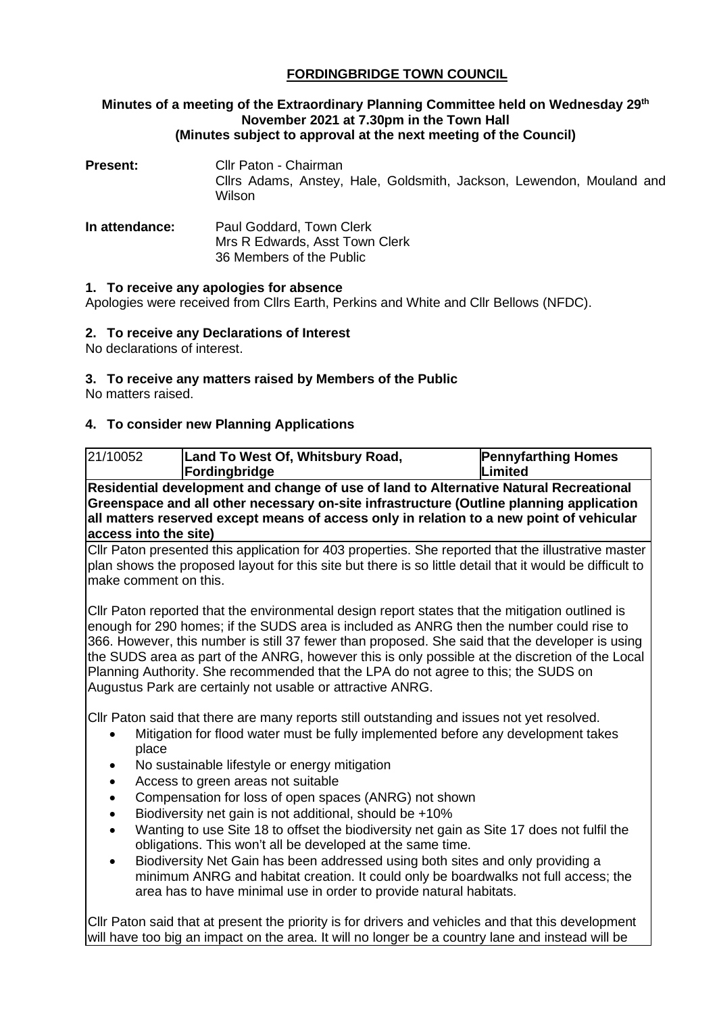# **FORDINGBRIDGE TOWN COUNCIL**

#### **Minutes of a meeting of the Extraordinary Planning Committee held on Wednesday 29th November 2021 at 7.30pm in the Town Hall (Minutes subject to approval at the next meeting of the Council)**

| Present:       | Cllr Paton - Chairman<br>Cllrs Adams, Anstey, Hale, Goldsmith, Jackson, Lewendon, Mouland and<br>Wilson |
|----------------|---------------------------------------------------------------------------------------------------------|
| In attendance: | Paul Goddard, Town Clerk<br>Mrs R Edwards, Asst Town Clerk<br>36 Members of the Public                  |

#### **1. To receive any apologies for absence**

Apologies were received from Cllrs Earth, Perkins and White and Cllr Bellows (NFDC).

## **2. To receive any Declarations of Interest**

No declarations of interest.

### **3. To receive any matters raised by Members of the Public**

No matters raised.

## **4. To consider new Planning Applications**

| 21/10052                                                                                                                                                                                                                                                                                                                                                                                                                                                                                                                                              | Land To West Of, Whitsbury Road,                                   | <b>Pennyfarthing Homes</b> |  |  |
|-------------------------------------------------------------------------------------------------------------------------------------------------------------------------------------------------------------------------------------------------------------------------------------------------------------------------------------------------------------------------------------------------------------------------------------------------------------------------------------------------------------------------------------------------------|--------------------------------------------------------------------|----------------------------|--|--|
|                                                                                                                                                                                                                                                                                                                                                                                                                                                                                                                                                       | Fordingbridge                                                      | <b>Limited</b>             |  |  |
| Residential development and change of use of land to Alternative Natural Recreational                                                                                                                                                                                                                                                                                                                                                                                                                                                                 |                                                                    |                            |  |  |
| Greenspace and all other necessary on-site infrastructure (Outline planning application                                                                                                                                                                                                                                                                                                                                                                                                                                                               |                                                                    |                            |  |  |
| all matters reserved except means of access only in relation to a new point of vehicular                                                                                                                                                                                                                                                                                                                                                                                                                                                              |                                                                    |                            |  |  |
| access into the site)                                                                                                                                                                                                                                                                                                                                                                                                                                                                                                                                 |                                                                    |                            |  |  |
| Cllr Paton presented this application for 403 properties. She reported that the illustrative master                                                                                                                                                                                                                                                                                                                                                                                                                                                   |                                                                    |                            |  |  |
| plan shows the proposed layout for this site but there is so little detail that it would be difficult to                                                                                                                                                                                                                                                                                                                                                                                                                                              |                                                                    |                            |  |  |
| make comment on this.                                                                                                                                                                                                                                                                                                                                                                                                                                                                                                                                 |                                                                    |                            |  |  |
| Cllr Paton reported that the environmental design report states that the mitigation outlined is<br>enough for 290 homes; if the SUDS area is included as ANRG then the number could rise to<br>366. However, this number is still 37 fewer than proposed. She said that the developer is using<br>the SUDS area as part of the ANRG, however this is only possible at the discretion of the Local<br>Planning Authority. She recommended that the LPA do not agree to this; the SUDS on<br>Augustus Park are certainly not usable or attractive ANRG. |                                                                    |                            |  |  |
| CIIr Paton said that there are many reports still outstanding and issues not yet resolved.<br>Mitigation for flood water must be fully implemented before any development takes                                                                                                                                                                                                                                                                                                                                                                       |                                                                    |                            |  |  |
| place                                                                                                                                                                                                                                                                                                                                                                                                                                                                                                                                                 |                                                                    |                            |  |  |
| No sustainable lifestyle or energy mitigation<br>٠                                                                                                                                                                                                                                                                                                                                                                                                                                                                                                    |                                                                    |                            |  |  |
| Access to green areas not suitable<br>$\bullet$                                                                                                                                                                                                                                                                                                                                                                                                                                                                                                       |                                                                    |                            |  |  |
| Compensation for loss of open spaces (ANRG) not shown                                                                                                                                                                                                                                                                                                                                                                                                                                                                                                 |                                                                    |                            |  |  |
| Biodiversity net gain is not additional, should be +10%<br>$\bullet$                                                                                                                                                                                                                                                                                                                                                                                                                                                                                  |                                                                    |                            |  |  |
| Wanting to use Site 18 to offset the biodiversity net gain as Site 17 does not fulfil the                                                                                                                                                                                                                                                                                                                                                                                                                                                             |                                                                    |                            |  |  |
| obligations. This won't all be developed at the same time.                                                                                                                                                                                                                                                                                                                                                                                                                                                                                            |                                                                    |                            |  |  |
| Biodiversity Net Gain has been addressed using both sites and only providing a<br>$\bullet$                                                                                                                                                                                                                                                                                                                                                                                                                                                           |                                                                    |                            |  |  |
| minimum ANRG and habitat creation. It could only be boardwalks not full access; the                                                                                                                                                                                                                                                                                                                                                                                                                                                                   |                                                                    |                            |  |  |
|                                                                                                                                                                                                                                                                                                                                                                                                                                                                                                                                                       | area has to have minimal use in order to provide natural habitats. |                            |  |  |
| CIIr Paton said that at present the priority is for drivers and vehicles and that this development                                                                                                                                                                                                                                                                                                                                                                                                                                                    |                                                                    |                            |  |  |
| will have too big an impact on the area. It will no longer be a country lane and instead will be                                                                                                                                                                                                                                                                                                                                                                                                                                                      |                                                                    |                            |  |  |
|                                                                                                                                                                                                                                                                                                                                                                                                                                                                                                                                                       |                                                                    |                            |  |  |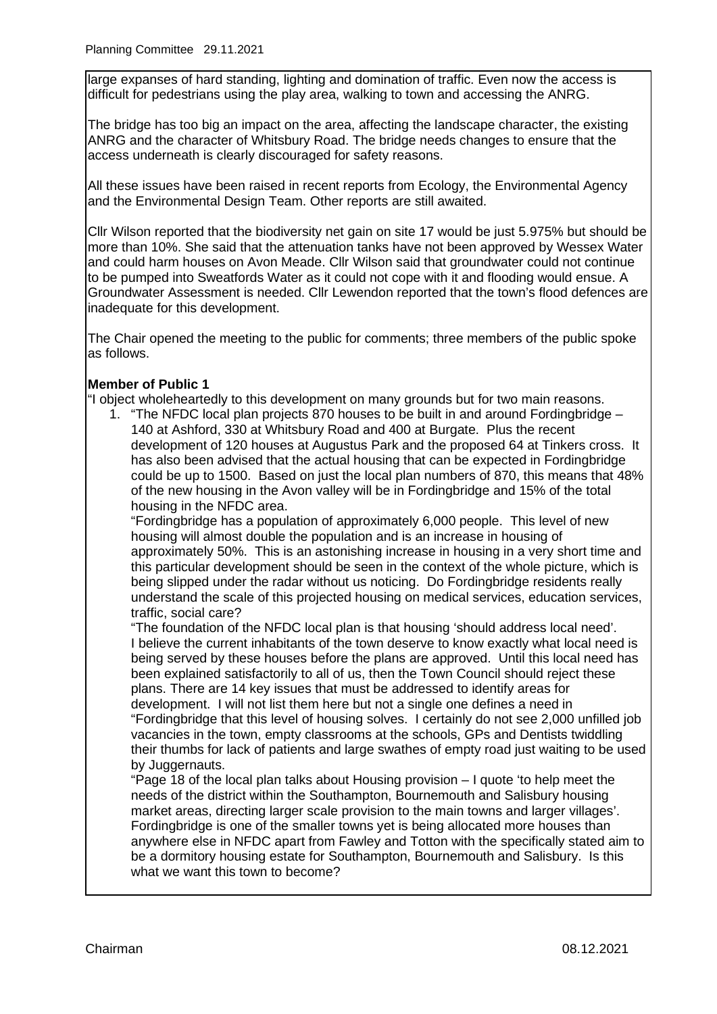large expanses of hard standing, lighting and domination of traffic. Even now the access is difficult for pedestrians using the play area, walking to town and accessing the ANRG.

The bridge has too big an impact on the area, affecting the landscape character, the existing ANRG and the character of Whitsbury Road. The bridge needs changes to ensure that the access underneath is clearly discouraged for safety reasons.

All these issues have been raised in recent reports from Ecology, the Environmental Agency and the Environmental Design Team. Other reports are still awaited.

Cllr Wilson reported that the biodiversity net gain on site 17 would be just 5.975% but should be more than 10%. She said that the attenuation tanks have not been approved by Wessex Water and could harm houses on Avon Meade. Cllr Wilson said that groundwater could not continue to be pumped into Sweatfords Water as it could not cope with it and flooding would ensue. A Groundwater Assessment is needed. Cllr Lewendon reported that the town's flood defences are inadequate for this development.

The Chair opened the meeting to the public for comments; three members of the public spoke as follows.

#### **Member of Public 1**

"I object wholeheartedly to this development on many grounds but for two main reasons.

1. "The NFDC local plan projects 870 houses to be built in and around Fordingbridge – 140 at Ashford, 330 at Whitsbury Road and 400 at Burgate. Plus the recent development of 120 houses at Augustus Park and the proposed 64 at Tinkers cross. It has also been advised that the actual housing that can be expected in Fordingbridge could be up to 1500. Based on just the local plan numbers of 870, this means that 48% of the new housing in the Avon valley will be in Fordingbridge and 15% of the total housing in the NFDC area.

"Fordingbridge has a population of approximately 6,000 people. This level of new housing will almost double the population and is an increase in housing of approximately 50%. This is an astonishing increase in housing in a very short time and this particular development should be seen in the context of the whole picture, which is being slipped under the radar without us noticing. Do Fordingbridge residents really understand the scale of this projected housing on medical services, education services, traffic, social care?

"The foundation of the NFDC local plan is that housing 'should address local need'. I believe the current inhabitants of the town deserve to know exactly what local need is being served by these houses before the plans are approved. Until this local need has been explained satisfactorily to all of us, then the Town Council should reject these plans. There are 14 key issues that must be addressed to identify areas for development. I will not list them here but not a single one defines a need in

"Fordingbridge that this level of housing solves. I certainly do not see 2,000 unfilled job vacancies in the town, empty classrooms at the schools, GPs and Dentists twiddling their thumbs for lack of patients and large swathes of empty road just waiting to be used by Juggernauts.

"Page 18 of the local plan talks about Housing provision – I quote 'to help meet the needs of the district within the Southampton, Bournemouth and Salisbury housing market areas, directing larger scale provision to the main towns and larger villages'. Fordingbridge is one of the smaller towns yet is being allocated more houses than anywhere else in NFDC apart from Fawley and Totton with the specifically stated aim to be a dormitory housing estate for Southampton, Bournemouth and Salisbury. Is this what we want this town to become?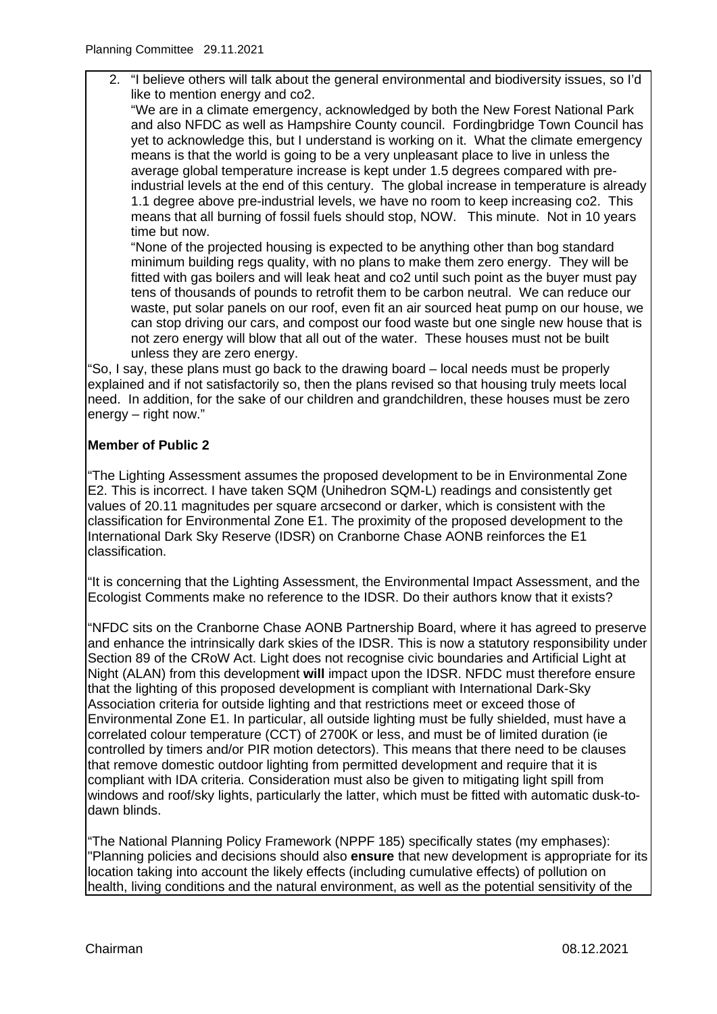2. "I believe others will talk about the general environmental and biodiversity issues, so I'd like to mention energy and co2.

"We are in a climate emergency, acknowledged by both the New Forest National Park and also NFDC as well as Hampshire County council. Fordingbridge Town Council has yet to acknowledge this, but I understand is working on it. What the climate emergency means is that the world is going to be a very unpleasant place to live in unless the average global temperature increase is kept under 1.5 degrees compared with preindustrial levels at the end of this century. The global increase in temperature is already 1.1 degree above pre-industrial levels, we have no room to keep increasing co2. This means that all burning of fossil fuels should stop, NOW. This minute. Not in 10 years time but now.

"None of the projected housing is expected to be anything other than bog standard minimum building regs quality, with no plans to make them zero energy. They will be fitted with gas boilers and will leak heat and co2 until such point as the buyer must pay tens of thousands of pounds to retrofit them to be carbon neutral. We can reduce our waste, put solar panels on our roof, even fit an air sourced heat pump on our house, we can stop driving our cars, and compost our food waste but one single new house that is not zero energy will blow that all out of the water. These houses must not be built unless they are zero energy.

"So, I say, these plans must go back to the drawing board – local needs must be properly explained and if not satisfactorily so, then the plans revised so that housing truly meets local need. In addition, for the sake of our children and grandchildren, these houses must be zero energy – right now."

# **Member of Public 2**

"The Lighting Assessment assumes the proposed development to be in Environmental Zone E2. This is incorrect. I have taken SQM (Unihedron SQM-L) readings and consistently get values of 20.11 magnitudes per square arcsecond or darker, which is consistent with the classification for Environmental Zone E1. The proximity of the proposed development to the International Dark Sky Reserve (IDSR) on Cranborne Chase AONB reinforces the E1 classification.

"It is concerning that the Lighting Assessment, the Environmental Impact Assessment, and the Ecologist Comments make no reference to the IDSR. Do their authors know that it exists?

"NFDC sits on the Cranborne Chase AONB Partnership Board, where it has agreed to preserve and enhance the intrinsically dark skies of the IDSR. This is now a statutory responsibility under Section 89 of the CRoW Act. Light does not recognise civic boundaries and Artificial Light at Night (ALAN) from this development **will** impact upon the IDSR. NFDC must therefore ensure that the lighting of this proposed development is compliant with International Dark-Sky Association criteria for outside lighting and that restrictions meet or exceed those of Environmental Zone E1. In particular, all outside lighting must be fully shielded, must have a correlated colour temperature (CCT) of 2700K or less, and must be of limited duration (ie controlled by timers and/or PIR motion detectors). This means that there need to be clauses that remove domestic outdoor lighting from permitted development and require that it is compliant with IDA criteria. Consideration must also be given to mitigating light spill from windows and roof/sky lights, particularly the latter, which must be fitted with automatic dusk-todawn blinds.

"The National Planning Policy Framework (NPPF 185) specifically states (my emphases): "Planning policies and decisions should also **ensure** that new development is appropriate for its location taking into account the likely effects (including cumulative effects) of pollution on health, living conditions and the natural environment, as well as the potential sensitivity of the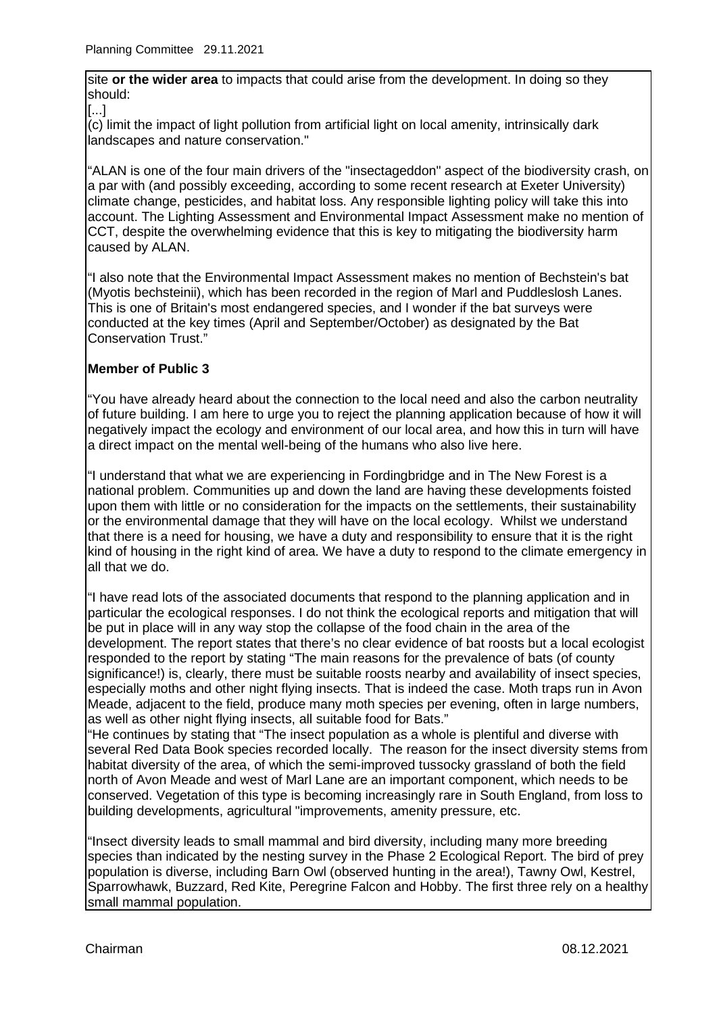site **or the wider area** to impacts that could arise from the development. In doing so they should:

[...]

(c) limit the impact of light pollution from artificial light on local amenity, intrinsically dark landscapes and nature conservation."

"ALAN is one of the four main drivers of the "insectageddon" aspect of the biodiversity crash, on a par with (and possibly exceeding, according to some recent research at Exeter University) climate change, pesticides, and habitat loss. Any responsible lighting policy will take this into account. The Lighting Assessment and Environmental Impact Assessment make no mention of CCT, despite the overwhelming evidence that this is key to mitigating the biodiversity harm caused by ALAN.

"I also note that the Environmental Impact Assessment makes no mention of Bechstein's bat (Myotis bechsteinii), which has been recorded in the region of Marl and Puddleslosh Lanes. This is one of Britain's most endangered species, and I wonder if the bat surveys were conducted at the key times (April and September/October) as designated by the Bat Conservation Trust."

# **Member of Public 3**

"You have already heard about the connection to the local need and also the carbon neutrality of future building. I am here to urge you to reject the planning application because of how it will negatively impact the ecology and environment of our local area, and how this in turn will have a direct impact on the mental well-being of the humans who also live here.

"I understand that what we are experiencing in Fordingbridge and in The New Forest is a national problem. Communities up and down the land are having these developments foisted upon them with little or no consideration for the impacts on the settlements, their sustainability or the environmental damage that they will have on the local ecology. Whilst we understand that there is a need for housing, we have a duty and responsibility to ensure that it is the right kind of housing in the right kind of area. We have a duty to respond to the climate emergency in all that we do.

"I have read lots of the associated documents that respond to the planning application and in particular the ecological responses. I do not think the ecological reports and mitigation that will be put in place will in any way stop the collapse of the food chain in the area of the development. The report states that there's no clear evidence of bat roosts but a local ecologist responded to the report by stating "The main reasons for the prevalence of bats (of county significance!) is, clearly, there must be suitable roosts nearby and availability of insect species, especially moths and other night flying insects. That is indeed the case. Moth traps run in Avon Meade, adjacent to the field, produce many moth species per evening, often in large numbers, as well as other night flying insects, all suitable food for Bats."

"He continues by stating that "The insect population as a whole is plentiful and diverse with several Red Data Book species recorded locally. The reason for the insect diversity stems from habitat diversity of the area, of which the semi-improved tussocky grassland of both the field north of Avon Meade and west of Marl Lane are an important component, which needs to be conserved. Vegetation of this type is becoming increasingly rare in South England, from loss to building developments, agricultural "improvements, amenity pressure, etc.

"Insect diversity leads to small mammal and bird diversity, including many more breeding species than indicated by the nesting survey in the Phase 2 Ecological Report. The bird of prey population is diverse, including Barn Owl (observed hunting in the area!), Tawny Owl, Kestrel, Sparrowhawk, Buzzard, Red Kite, Peregrine Falcon and Hobby. The first three rely on a healthy small mammal population.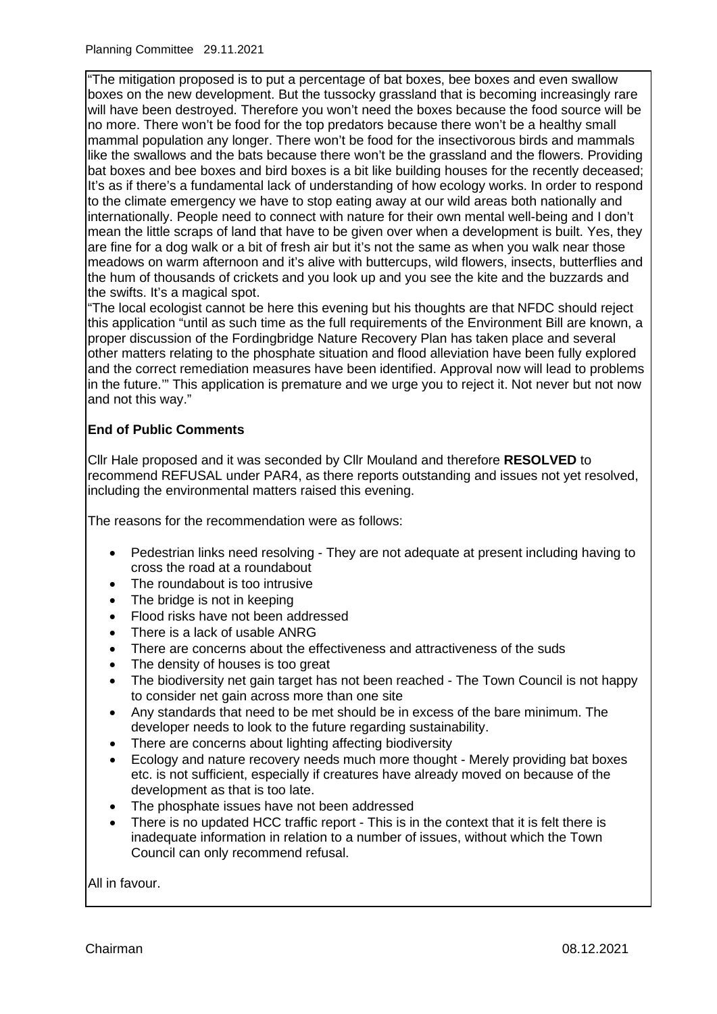"The mitigation proposed is to put a percentage of bat boxes, bee boxes and even swallow boxes on the new development. But the tussocky grassland that is becoming increasingly rare will have been destroyed. Therefore you won't need the boxes because the food source will be no more. There won't be food for the top predators because there won't be a healthy small mammal population any longer. There won't be food for the insectivorous birds and mammals like the swallows and the bats because there won't be the grassland and the flowers. Providing bat boxes and bee boxes and bird boxes is a bit like building houses for the recently deceased; It's as if there's a fundamental lack of understanding of how ecology works. In order to respond to the climate emergency we have to stop eating away at our wild areas both nationally and internationally. People need to connect with nature for their own mental well-being and I don't mean the little scraps of land that have to be given over when a development is built. Yes, they are fine for a dog walk or a bit of fresh air but it's not the same as when you walk near those meadows on warm afternoon and it's alive with buttercups, wild flowers, insects, butterflies and the hum of thousands of crickets and you look up and you see the kite and the buzzards and the swifts. It's a magical spot.

"The local ecologist cannot be here this evening but his thoughts are that NFDC should reject this application "until as such time as the full requirements of the Environment Bill are known, a proper discussion of the Fordingbridge Nature Recovery Plan has taken place and several other matters relating to the phosphate situation and flood alleviation have been fully explored and the correct remediation measures have been identified. Approval now will lead to problems in the future.'" This application is premature and we urge you to reject it. Not never but not now and not this way."

# **End of Public Comments**

Cllr Hale proposed and it was seconded by Cllr Mouland and therefore **RESOLVED** to recommend REFUSAL under PAR4, as there reports outstanding and issues not yet resolved, including the environmental matters raised this evening.

The reasons for the recommendation were as follows:

- Pedestrian links need resolving They are not adequate at present including having to cross the road at a roundabout
- The roundabout is too intrusive
- The bridge is not in keeping
- Flood risks have not been addressed
- There is a lack of usable ANRG
- There are concerns about the effectiveness and attractiveness of the suds
- The density of houses is too great
- The biodiversity net gain target has not been reached The Town Council is not happy to consider net gain across more than one site
- Any standards that need to be met should be in excess of the bare minimum. The developer needs to look to the future regarding sustainability.
- There are concerns about lighting affecting biodiversity
- Ecology and nature recovery needs much more thought Merely providing bat boxes etc. is not sufficient, especially if creatures have already moved on because of the development as that is too late.
- The phosphate issues have not been addressed
- There is no updated HCC traffic report This is in the context that it is felt there is inadequate information in relation to a number of issues, without which the Town Council can only recommend refusal.

All in favour.